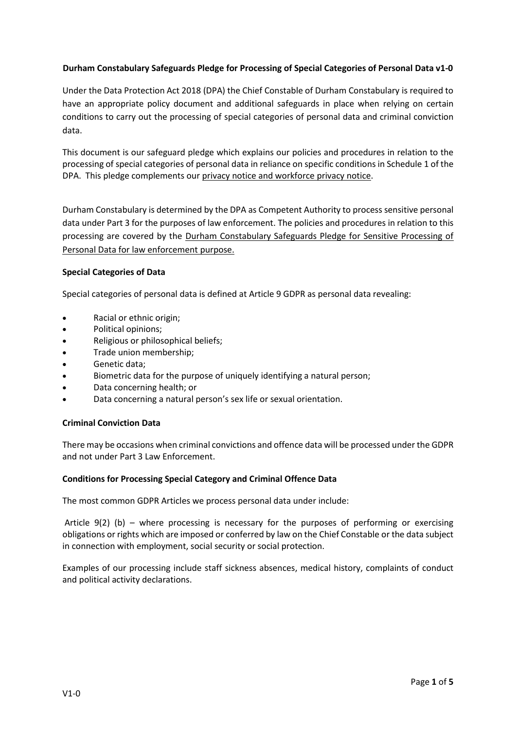# **Durham Constabulary Safeguards Pledge for Processing of Special Categories of Personal Data v1-0**

Under the Data Protection Act 2018 (DPA) the Chief Constable of Durham Constabulary is required to have an appropriate policy document and additional safeguards in place when relying on certain conditions to carry out the processing of special categories of personal data and criminal conviction data.

This document is our safeguard pledge which explains our policies and procedures in relation to the processing of special categories of personal data in reliance on specific conditions in Schedule 1 of the DPA. This pledge complements our [privacy notice and workforce privacy notice.](https://www.durham.police.uk/About-Us/Freedom-of-information/General/Pages/Privacy-Notice.aspx)

Durham Constabulary is determined by the DPA as Competent Authority to process sensitive personal data under Part 3 for the purposes of law enforcement. The policies and procedures in relation to this processing are covered by the [Durham Constabulary Safeguards Pledge for Sensitive Processing of](https://www.durham.police.uk/About-Us/Freedom-of-information/General/Pages/Privacy-Notice.aspx)  [Personal Data for law enforcement purpose.](https://www.durham.police.uk/About-Us/Freedom-of-information/General/Pages/Privacy-Notice.aspx)

## **Special Categories of Data**

Special categories of personal data is defined at Article 9 GDPR as personal data revealing:

- Racial or ethnic origin;
- Political opinions;
- Religious or philosophical beliefs;
- Trade union membership;
- Genetic data;
- Biometric data for the purpose of uniquely identifying a natural person;
- Data concerning health; or
- Data concerning a natural person's sex life or sexual orientation.

## **Criminal Conviction Data**

There may be occasions when criminal convictions and offence data will be processed under the GDPR and not under Part 3 Law Enforcement.

## **Conditions for Processing Special Category and Criminal Offence Data**

The most common GDPR Articles we process personal data under include:

Article  $9(2)$  (b) – where processing is necessary for the purposes of performing or exercising obligations or rights which are imposed or conferred by law on the Chief Constable or the data subject in connection with employment, social security or social protection.

Examples of our processing include staff sickness absences, medical history, complaints of conduct and political activity declarations.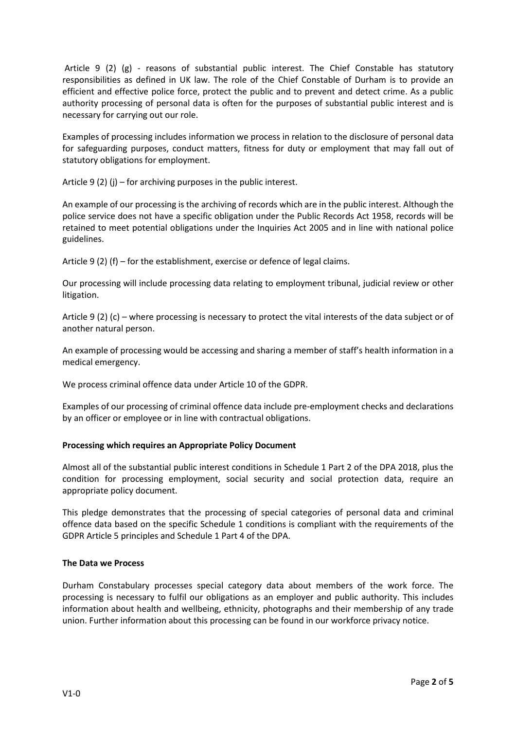Article 9 (2) (g) - reasons of substantial public interest. The Chief Constable has statutory responsibilities as defined in UK law. The role of the Chief Constable of Durham is to provide an efficient and effective police force, protect the public and to prevent and detect crime. As a public authority processing of personal data is often for the purposes of substantial public interest and is necessary for carrying out our role.

Examples of processing includes information we process in relation to the disclosure of personal data for safeguarding purposes, conduct matters, fitness for duty or employment that may fall out of statutory obligations for employment.

Article 9 (2) (j) – for archiving purposes in the public interest.

An example of our processing is the archiving of records which are in the public interest. Although the police service does not have a specific obligation under the Public Records Act 1958, records will be retained to meet potential obligations under the Inquiries Act 2005 and in line with national police guidelines.

Article 9 (2) (f) – for the establishment, exercise or defence of legal claims.

Our processing will include processing data relating to employment tribunal, judicial review or other litigation.

Article 9 (2) (c) – where processing is necessary to protect the vital interests of the data subject or of another natural person.

An example of processing would be accessing and sharing a member of staff's health information in a medical emergency.

We process criminal offence data under Article 10 of the GDPR.

Examples of our processing of criminal offence data include pre-employment checks and declarations by an officer or employee or in line with contractual obligations.

## **Processing which requires an Appropriate Policy Document**

Almost all of the substantial public interest conditions in Schedule 1 Part 2 of the DPA 2018, plus the condition for processing employment, social security and social protection data, require an appropriate policy document.

This pledge demonstrates that the processing of special categories of personal data and criminal offence data based on the specific Schedule 1 conditions is compliant with the requirements of the GDPR Article 5 principles and Schedule 1 Part 4 of the DPA.

## **The Data we Process**

Durham Constabulary processes special category data about members of the work force. The processing is necessary to fulfil our obligations as an employer and public authority. This includes information about health and wellbeing, ethnicity, photographs and their membership of any trade union. Further information about this processing can be found in our workforce privacy notice.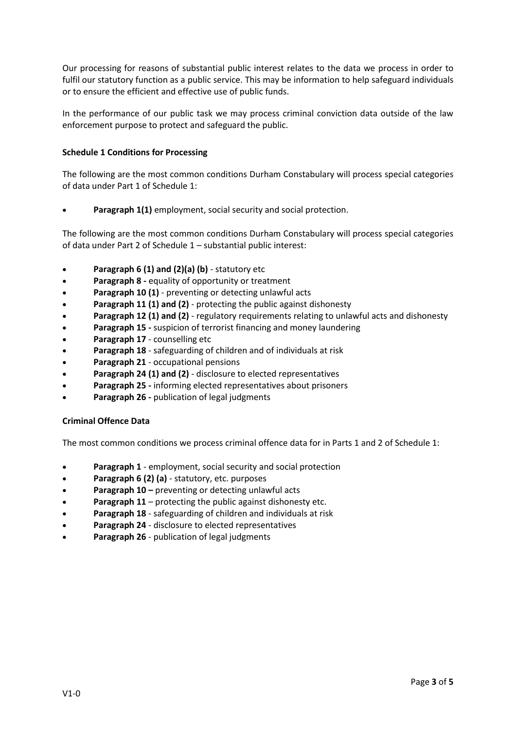Our processing for reasons of substantial public interest relates to the data we process in order to fulfil our statutory function as a public service. This may be information to help safeguard individuals or to ensure the efficient and effective use of public funds.

In the performance of our public task we may process criminal conviction data outside of the law enforcement purpose to protect and safeguard the public.

# **Schedule 1 Conditions for Processing**

The following are the most common conditions Durham Constabulary will process special categories of data under Part 1 of Schedule 1:

**Paragraph 1(1)** employment, social security and social protection.

The following are the most common conditions Durham Constabulary will process special categories of data under Part 2 of Schedule 1 – substantial public interest:

- **Paragraph 6 (1) and (2)(a) (b)** statutory etc
- **Paragraph 8 -** equality of opportunity or treatment
- **Paragraph 10 (1)** preventing or detecting unlawful acts
- **Paragraph 11 (1) and (2)** protecting the public against dishonesty
- **Paragraph 12 (1) and (2)** regulatory requirements relating to unlawful acts and dishonesty
- **Paragraph 15 -** suspicion of terrorist financing and money laundering
- **Paragraph 17** counselling etc
- **Paragraph 18**  safeguarding of children and of individuals at risk
- **Paragraph 21**  occupational pensions
- **Paragraph 24 (1) and (2)** disclosure to elected representatives
- **Paragraph 25 -** informing elected representatives about prisoners
- **Paragraph 26 -** publication of legal judgments

## **Criminal Offence Data**

The most common conditions we process criminal offence data for in Parts 1 and 2 of Schedule 1:

- **Paragraph 1** employment, social security and social protection
- **Paragraph 6 (2) (a)** statutory, etc. purposes
- **Paragraph 10 –** preventing or detecting unlawful acts
- **Paragraph 11** protecting the public against dishonesty etc.
- **Paragraph 18** safeguarding of children and individuals at risk
- **Paragraph 24** disclosure to elected representatives
- **Paragraph 26** publication of legal judgments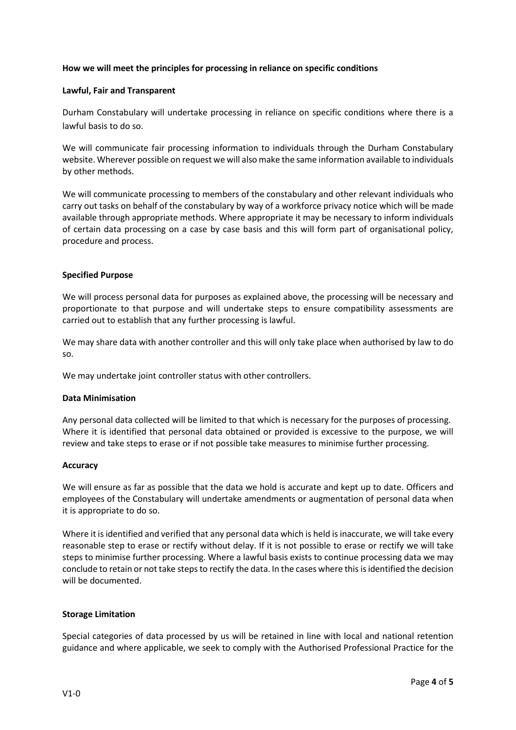## **How we will meet the principles for processing in reliance on specific conditions**

#### **Lawful, Fair and Transparent**

Durham Constabulary will undertake processing in reliance on specific conditions where there is a lawful basis to do so.

We will communicate fair processing information to individuals through the Durham Constabulary website. Wherever possible on request we will also make the same information available to individuals by other methods.

We will communicate processing to members of the constabulary and other relevant individuals who carry out tasks on behalf of the constabulary by way of a workforce privacy notice which will be made available through appropriate methods. Where appropriate it may be necessary to inform individuals of certain data processing on a case by case basis and this will form part of organisational policy, procedure and process.

#### **Specified Purpose**

We will process personal data for purposes as explained above, the processing will be necessary and proportionate to that purpose and will undertake steps to ensure compatibility assessments are carried out to establish that any further processing is lawful.

We may share data with another controller and this will only take place when authorised by law to do so.

We may undertake joint controller status with other controllers.

#### **Data Minimisation**

Any personal data collected will be limited to that which is necessary for the purposes of processing. Where it is identified that personal data obtained or provided is excessive to the purpose, we will review and take steps to erase or if not possible take measures to minimise further processing.

#### **Accuracy**

We will ensure as far as possible that the data we hold is accurate and kept up to date. Officers and employees of the Constabulary will undertake amendments or augmentation of personal data when it is appropriate to do so.

Where it is identified and verified that any personal data which is held is inaccurate, we will take every reasonable step to erase or rectify without delay. If it is not possible to erase or rectify we will take steps to minimise further processing. Where a lawful basis exists to continue processing data we may conclude to retain or not take steps to rectify the data. In the cases where this is identified the decision will be documented.

## **Storage Limitation**

Special categories of data processed by us will be retained in line with local and national retention guidance and where applicable, we seek to comply with the Authorised Professional Practice for the